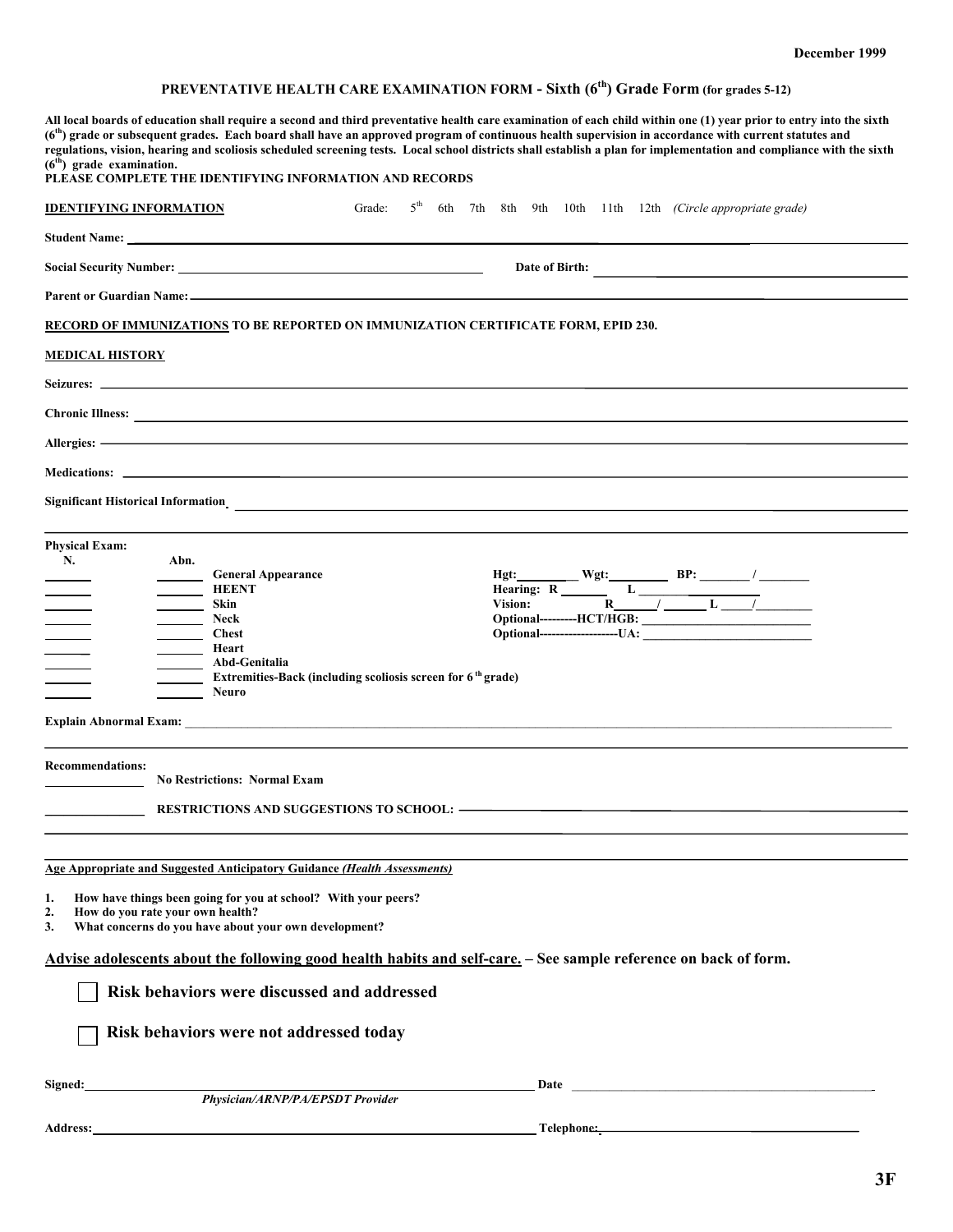## **PREVENTATIVE HEALTH CARE EXAMINATION FORM - Sixth (6th) Grade Form (for grades 5-12)**

| All local boards of education shall require a second and third preventative health care examination of each child within one (1) year prior to entry into the sixth<br>(6 <sup>th</sup> ) grade or subsequent grades. Each board shall have an approved program of continuous health supervision in accordance with current statutes and<br>regulations, vision, hearing and scoliosis scheduled screening tests. Local school districts shall establish a plan for implementation and compliance with the sixth<br>$(6th)$ grade examination.<br>PLEASE COMPLETE THE IDENTIFYING INFORMATION AND RECORDS |                |  |  |  |  |  |  |  |  |                                                                                                                                                                                                                                                                                                   |
|-----------------------------------------------------------------------------------------------------------------------------------------------------------------------------------------------------------------------------------------------------------------------------------------------------------------------------------------------------------------------------------------------------------------------------------------------------------------------------------------------------------------------------------------------------------------------------------------------------------|----------------|--|--|--|--|--|--|--|--|---------------------------------------------------------------------------------------------------------------------------------------------------------------------------------------------------------------------------------------------------------------------------------------------------|
| <b>IDENTIFYING INFORMATION</b>                                                                                                                                                                                                                                                                                                                                                                                                                                                                                                                                                                            | Grade:         |  |  |  |  |  |  |  |  | $5th$ 6th 7th 8th 9th 10th 11th 12th (Circle appropriate grade)                                                                                                                                                                                                                                   |
|                                                                                                                                                                                                                                                                                                                                                                                                                                                                                                                                                                                                           |                |  |  |  |  |  |  |  |  |                                                                                                                                                                                                                                                                                                   |
|                                                                                                                                                                                                                                                                                                                                                                                                                                                                                                                                                                                                           | Date of Birth: |  |  |  |  |  |  |  |  |                                                                                                                                                                                                                                                                                                   |
|                                                                                                                                                                                                                                                                                                                                                                                                                                                                                                                                                                                                           |                |  |  |  |  |  |  |  |  |                                                                                                                                                                                                                                                                                                   |
| <b>RECORD OF IMMUNIZATIONS TO BE REPORTED ON IMMUNIZATION CERTIFICATE FORM, EPID 230.</b>                                                                                                                                                                                                                                                                                                                                                                                                                                                                                                                 |                |  |  |  |  |  |  |  |  |                                                                                                                                                                                                                                                                                                   |
| <b>MEDICAL HISTORY</b>                                                                                                                                                                                                                                                                                                                                                                                                                                                                                                                                                                                    |                |  |  |  |  |  |  |  |  |                                                                                                                                                                                                                                                                                                   |
|                                                                                                                                                                                                                                                                                                                                                                                                                                                                                                                                                                                                           |                |  |  |  |  |  |  |  |  |                                                                                                                                                                                                                                                                                                   |
|                                                                                                                                                                                                                                                                                                                                                                                                                                                                                                                                                                                                           |                |  |  |  |  |  |  |  |  |                                                                                                                                                                                                                                                                                                   |
| Allergies: - The Commission of the Commission of the Commission of the Commission of the Commission of the Commission of the Commission of the Commission of the Commission of the Commission of the Commission of the Commiss                                                                                                                                                                                                                                                                                                                                                                            |                |  |  |  |  |  |  |  |  |                                                                                                                                                                                                                                                                                                   |
|                                                                                                                                                                                                                                                                                                                                                                                                                                                                                                                                                                                                           |                |  |  |  |  |  |  |  |  |                                                                                                                                                                                                                                                                                                   |
|                                                                                                                                                                                                                                                                                                                                                                                                                                                                                                                                                                                                           |                |  |  |  |  |  |  |  |  |                                                                                                                                                                                                                                                                                                   |
| <b>Physical Exam:</b><br>N.<br>Abn.<br><b>General Appearance</b><br><b>HEENT</b><br>$\sim$ $\sim$<br>Skin<br>$\qquad \qquad$<br>Neck<br>____ Chest<br>$\frac{1}{\sqrt{1-\frac{1}{2}}}\left( \frac{1}{\sqrt{1-\frac{1}{2}}}\right) ^{2}$<br>Heart<br>$\sim$<br>Abd-Genitalia<br>Extremities-Back (including scoliosis screen for 6 <sup>th</sup> grade)<br><b>Neuro</b>                                                                                                                                                                                                                                    |                |  |  |  |  |  |  |  |  | Hgt: $R$ Wgt: $R$ BP: $\frac{P}{P}$ BP: $\frac{P}{P}$ / $\frac{P}{P}$ / $\frac{P}{P}$ / $\frac{P}{P}$ / $\frac{P}{P}$ / $\frac{P}{P}$ / $\frac{P}{P}$ / $\frac{P}{P}$ / $\frac{P}{P}$ / $\frac{P}{P}$ / $\frac{P}{P}$ / $\frac{P}{P}$ / $\frac{P}{P}$ / $\frac{P}{P}$ / $\frac{P}{P}$ / $\frac{P$ |
| <b>Recommendations:</b><br><b>No Restrictions: Normal Exam</b>                                                                                                                                                                                                                                                                                                                                                                                                                                                                                                                                            |                |  |  |  |  |  |  |  |  |                                                                                                                                                                                                                                                                                                   |
| <b>Age Appropriate and Suggested Anticipatory Guidance (Health Assessments)</b>                                                                                                                                                                                                                                                                                                                                                                                                                                                                                                                           |                |  |  |  |  |  |  |  |  |                                                                                                                                                                                                                                                                                                   |
| How have things been going for you at school? With your peers?<br>1.<br>How do you rate your own health?<br>2.<br>What concerns do you have about your own development?<br>3.                                                                                                                                                                                                                                                                                                                                                                                                                             |                |  |  |  |  |  |  |  |  |                                                                                                                                                                                                                                                                                                   |
| Advise adolescents about the following good health habits and self-care. - See sample reference on back of form.                                                                                                                                                                                                                                                                                                                                                                                                                                                                                          |                |  |  |  |  |  |  |  |  |                                                                                                                                                                                                                                                                                                   |
| Risk behaviors were discussed and addressed                                                                                                                                                                                                                                                                                                                                                                                                                                                                                                                                                               |                |  |  |  |  |  |  |  |  |                                                                                                                                                                                                                                                                                                   |
| Risk behaviors were not addressed today                                                                                                                                                                                                                                                                                                                                                                                                                                                                                                                                                                   |                |  |  |  |  |  |  |  |  |                                                                                                                                                                                                                                                                                                   |
| Signed:<br><b>Physician/ARNP/PA/EPSDT Provider</b>                                                                                                                                                                                                                                                                                                                                                                                                                                                                                                                                                        |                |  |  |  |  |  |  |  |  |                                                                                                                                                                                                                                                                                                   |
|                                                                                                                                                                                                                                                                                                                                                                                                                                                                                                                                                                                                           |                |  |  |  |  |  |  |  |  |                                                                                                                                                                                                                                                                                                   |